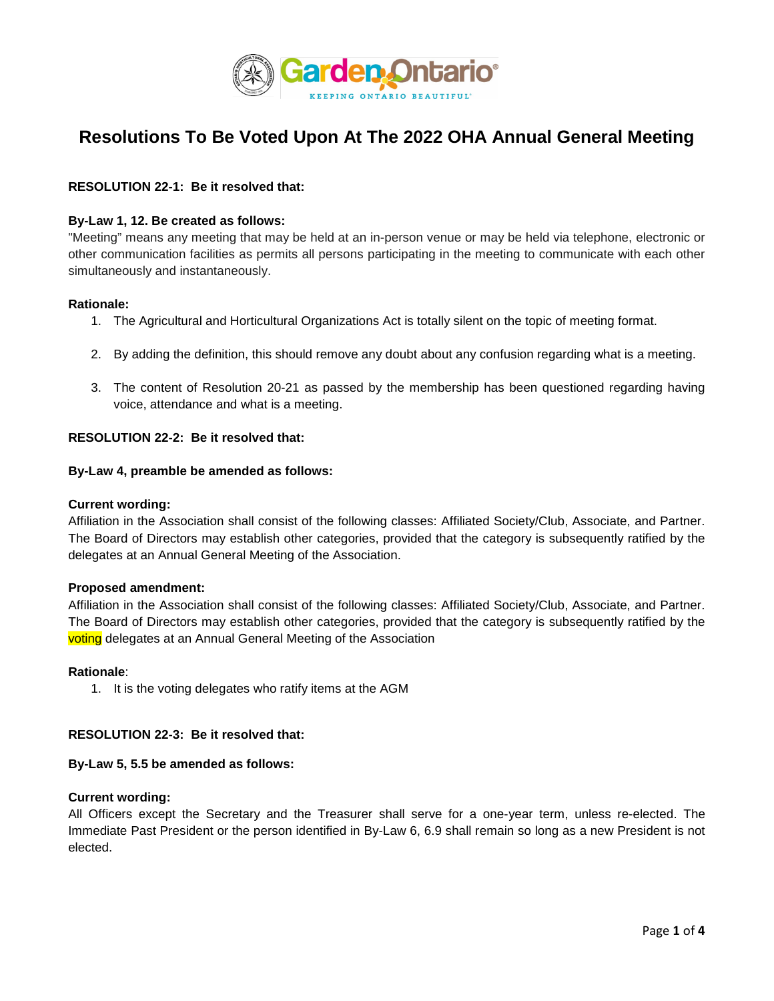

# **Resolutions To Be Voted Upon At The 2022 OHA Annual General Meeting**

# **RESOLUTION 22-1: Be it resolved that:**

## **By-Law 1, 12. Be created as follows:**

"Meeting" means any meeting that may be held at an in-person venue or may be held via telephone, electronic or other communication facilities as permits all persons participating in the meeting to communicate with each other simultaneously and instantaneously.

#### **Rationale:**

- 1. The Agricultural and Horticultural Organizations Act is totally silent on the topic of meeting format.
- 2. By adding the definition, this should remove any doubt about any confusion regarding what is a meeting.
- 3. The content of Resolution 20-21 as passed by the membership has been questioned regarding having voice, attendance and what is a meeting.

#### **RESOLUTION 22-2: Be it resolved that:**

#### **By-Law 4, preamble be amended as follows:**

#### **Current wording:**

Affiliation in the Association shall consist of the following classes: Affiliated Society/Club, Associate, and Partner. The Board of Directors may establish other categories, provided that the category is subsequently ratified by the delegates at an Annual General Meeting of the Association.

#### **Proposed amendment:**

Affiliation in the Association shall consist of the following classes: Affiliated Society/Club, Associate, and Partner. The Board of Directors may establish other categories, provided that the category is subsequently ratified by the voting delegates at an Annual General Meeting of the Association

#### **Rationale**:

1. It is the voting delegates who ratify items at the AGM

#### **RESOLUTION 22-3: Be it resolved that:**

#### **By-Law 5, 5.5 be amended as follows:**

#### **Current wording:**

All Officers except the Secretary and the Treasurer shall serve for a one-year term, unless re-elected. The Immediate Past President or the person identified in By-Law 6, 6.9 shall remain so long as a new President is not elected.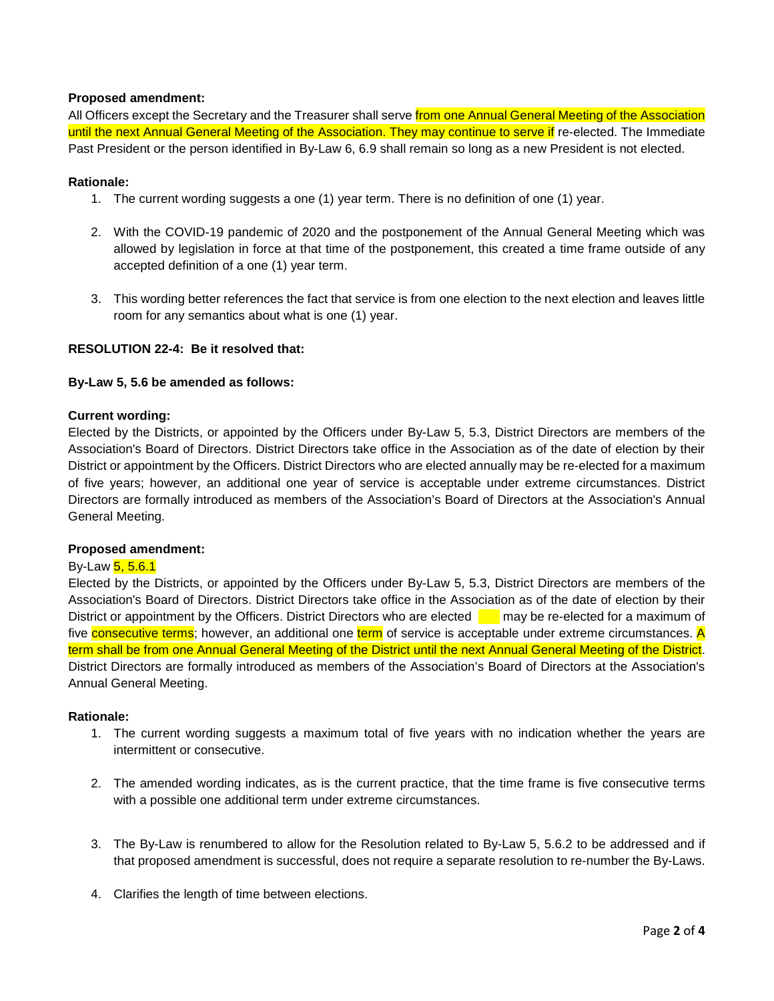# **Proposed amendment:**

All Officers except the Secretary and the Treasurer shall serve from one Annual General Meeting of the Association until the next Annual General Meeting of the Association. They may continue to serve if re-elected. The Immediate Past President or the person identified in By-Law 6, 6.9 shall remain so long as a new President is not elected.

## **Rationale:**

- 1. The current wording suggests a one (1) year term. There is no definition of one (1) year.
- 2. With the COVID-19 pandemic of 2020 and the postponement of the Annual General Meeting which was allowed by legislation in force at that time of the postponement, this created a time frame outside of any accepted definition of a one (1) year term.
- 3. This wording better references the fact that service is from one election to the next election and leaves little room for any semantics about what is one (1) year.

# **RESOLUTION 22-4: Be it resolved that:**

## **By-Law 5, 5.6 be amended as follows:**

## **Current wording:**

Elected by the Districts, or appointed by the Officers under By-Law 5, 5.3, District Directors are members of the Association's Board of Directors. District Directors take office in the Association as of the date of election by their District or appointment by the Officers. District Directors who are elected annually may be re-elected for a maximum of five years; however, an additional one year of service is acceptable under extreme circumstances. District Directors are formally introduced as members of the Association's Board of Directors at the Association's Annual General Meeting.

## **Proposed amendment:**

# By-Law 5, 5.6.1

Elected by the Districts, or appointed by the Officers under By-Law 5, 5.3, District Directors are members of the Association's Board of Directors. District Directors take office in the Association as of the date of election by their District or appointment by the Officers. District Directors who are elected may be re-elected for a maximum of five **consecutive terms**; however, an additional one term of service is acceptable under extreme circumstances. A term shall be from one Annual General Meeting of the District until the next Annual General Meeting of the District. District Directors are formally introduced as members of the Association's Board of Directors at the Association's Annual General Meeting.

#### **Rationale:**

- 1. The current wording suggests a maximum total of five years with no indication whether the years are intermittent or consecutive.
- 2. The amended wording indicates, as is the current practice, that the time frame is five consecutive terms with a possible one additional term under extreme circumstances.
- 3. The By-Law is renumbered to allow for the Resolution related to By-Law 5, 5.6.2 to be addressed and if that proposed amendment is successful, does not require a separate resolution to re-number the By-Laws.
- 4. Clarifies the length of time between elections.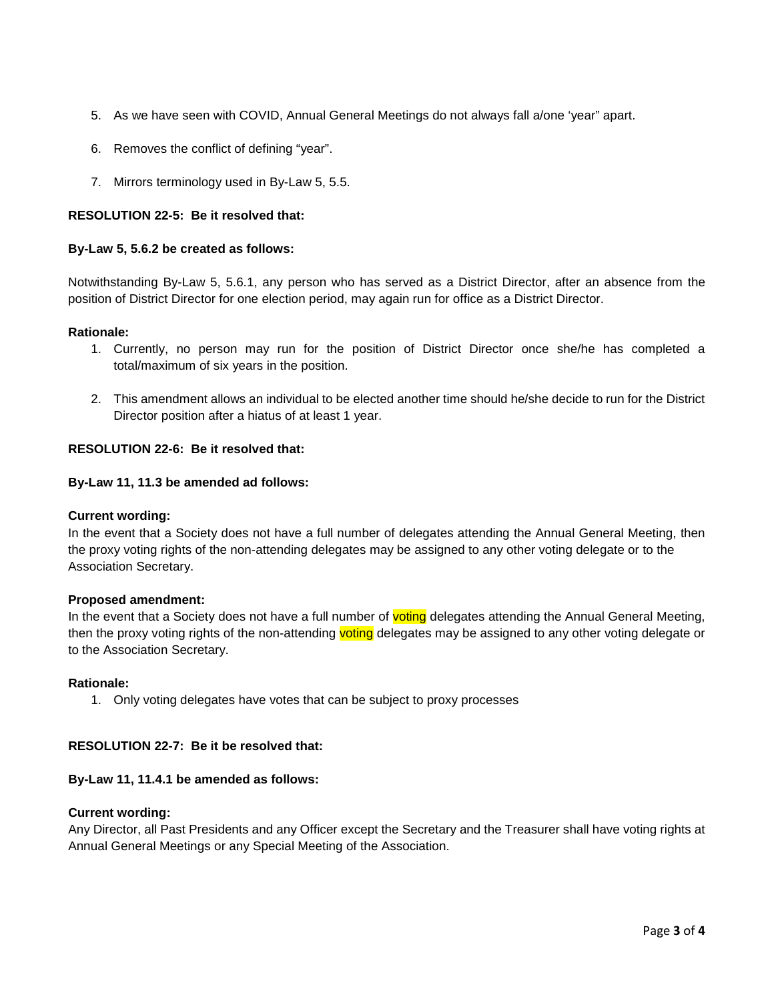- 5. As we have seen with COVID, Annual General Meetings do not always fall a/one 'year" apart.
- 6. Removes the conflict of defining "year".
- 7. Mirrors terminology used in By-Law 5, 5.5.

# **RESOLUTION 22-5: Be it resolved that:**

# **By-Law 5, 5.6.2 be created as follows:**

Notwithstanding By-Law 5, 5.6.1, any person who has served as a District Director, after an absence from the position of District Director for one election period, may again run for office as a District Director.

## **Rationale:**

- 1. Currently, no person may run for the position of District Director once she/he has completed a total/maximum of six years in the position.
- 2. This amendment allows an individual to be elected another time should he/she decide to run for the District Director position after a hiatus of at least 1 year.

# **RESOLUTION 22-6: Be it resolved that:**

# **By-Law 11, 11.3 be amended ad follows:**

## **Current wording:**

In the event that a Society does not have a full number of delegates attending the Annual General Meeting, then the proxy voting rights of the non-attending delegates may be assigned to any other voting delegate or to the Association Secretary.

## **Proposed amendment:**

In the event that a Society does not have a full number of voting delegates attending the Annual General Meeting, then the proxy voting rights of the non-attending voting delegates may be assigned to any other voting delegate or to the Association Secretary.

# **Rationale:**

1. Only voting delegates have votes that can be subject to proxy processes

## **RESOLUTION 22-7: Be it be resolved that:**

## **By-Law 11, 11.4.1 be amended as follows:**

## **Current wording:**

Any Director, all Past Presidents and any Officer except the Secretary and the Treasurer shall have voting rights at Annual General Meetings or any Special Meeting of the Association.